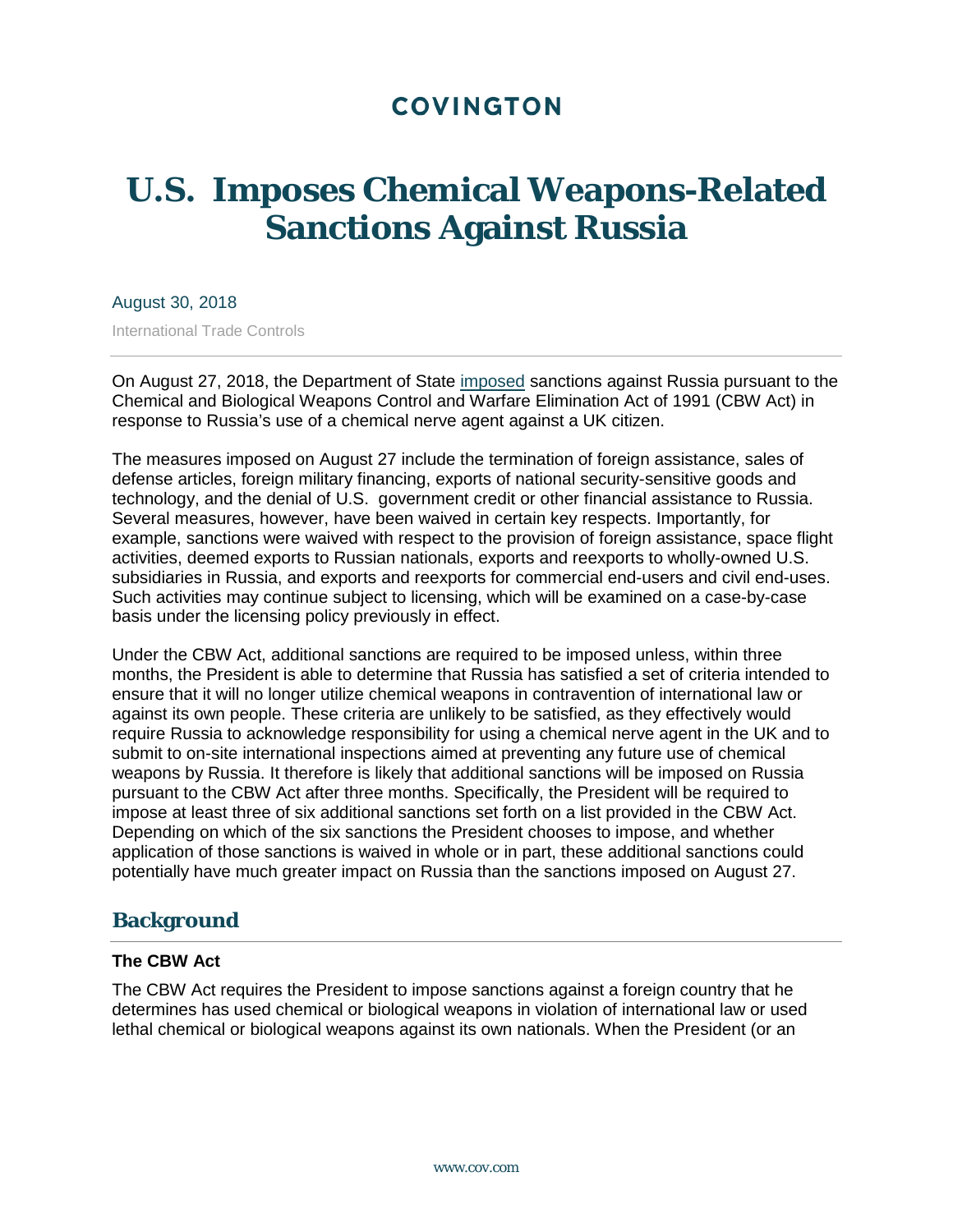# **COVINGTON**

# **U.S. Imposes Chemical Weapons-Related Sanctions Against Russia**

#### August 30, 2018

International Trade Controls

On August 27, 2018, the Department of State [imposed](https://www.gpo.gov/fdsys/pkg/FR-2018-08-27/pdf/2018-18503.pdf) sanctions against Russia pursuant to the Chemical and Biological Weapons Control and Warfare Elimination Act of 1991 (CBW Act) in response to Russia's use of a chemical nerve agent against a UK citizen.

The measures imposed on August 27 include the termination of foreign assistance, sales of defense articles, foreign military financing, exports of national security-sensitive goods and technology, and the denial of U.S. government credit or other financial assistance to Russia. Several measures, however, have been waived in certain key respects. Importantly, for example, sanctions were waived with respect to the provision of foreign assistance, space flight activities, deemed exports to Russian nationals, exports and reexports to wholly-owned U.S. subsidiaries in Russia, and exports and reexports for commercial end-users and civil end-uses. Such activities may continue subject to licensing, which will be examined on a case-by-case basis under the licensing policy previously in effect.

Under the CBW Act, additional sanctions are required to be imposed unless, within three months, the President is able to determine that Russia has satisfied a set of criteria intended to ensure that it will no longer utilize chemical weapons in contravention of international law or against its own people. These criteria are unlikely to be satisfied, as they effectively would require Russia to acknowledge responsibility for using a chemical nerve agent in the UK and to submit to on-site international inspections aimed at preventing any future use of chemical weapons by Russia. It therefore is likely that additional sanctions will be imposed on Russia pursuant to the CBW Act after three months. Specifically, the President will be required to impose at least three of six additional sanctions set forth on a list provided in the CBW Act. Depending on which of the six sanctions the President chooses to impose, and whether application of those sanctions is waived in whole or in part, these additional sanctions could potentially have much greater impact on Russia than the sanctions imposed on August 27.

### **Background**

#### **The CBW Act**

The CBW Act requires the President to impose sanctions against a foreign country that he determines has used chemical or biological weapons in violation of international law or used lethal chemical or biological weapons against its own nationals. When the President (or an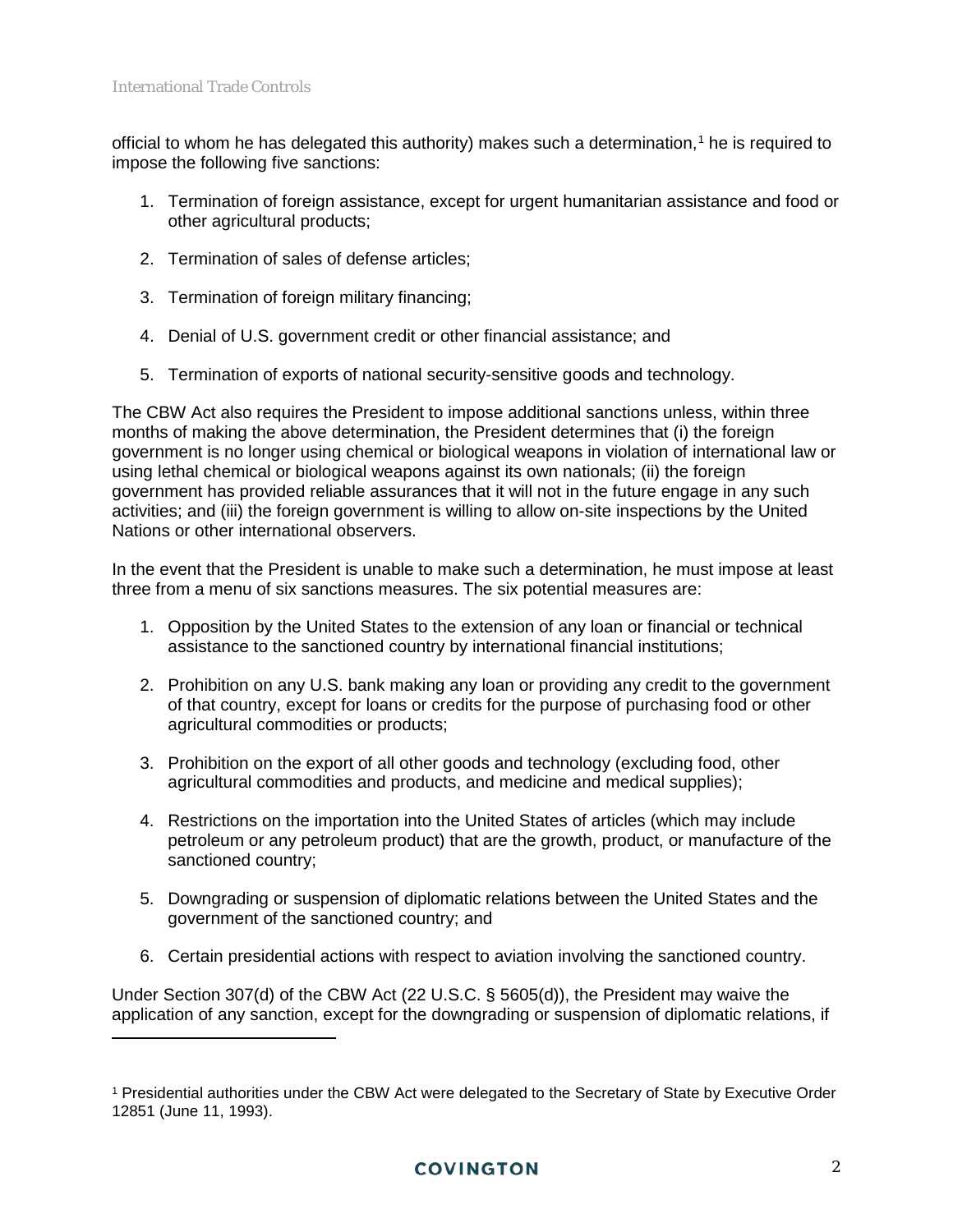$\overline{a}$ 

official to whom he has delegated this authority) makes such a determination,<sup>[1](#page-1-0)</sup> he is required to impose the following five sanctions:

- 1. Termination of foreign assistance, except for urgent humanitarian assistance and food or other agricultural products;
- 2. Termination of sales of defense articles;
- 3. Termination of foreign military financing;
- 4. Denial of U.S. government credit or other financial assistance; and
- 5. Termination of exports of national security-sensitive goods and technology.

The CBW Act also requires the President to impose additional sanctions unless, within three months of making the above determination, the President determines that (i) the foreign government is no longer using chemical or biological weapons in violation of international law or using lethal chemical or biological weapons against its own nationals; (ii) the foreign government has provided reliable assurances that it will not in the future engage in any such activities; and (iii) the foreign government is willing to allow on-site inspections by the United Nations or other international observers.

In the event that the President is unable to make such a determination, he must impose at least three from a menu of six sanctions measures. The six potential measures are:

- 1. Opposition by the United States to the extension of any loan or financial or technical assistance to the sanctioned country by international financial institutions;
- 2. Prohibition on any U.S. bank making any loan or providing any credit to the government of that country, except for loans or credits for the purpose of purchasing food or other agricultural commodities or products;
- 3. Prohibition on the export of all other goods and technology (excluding food, other agricultural commodities and products, and medicine and medical supplies);
- 4. Restrictions on the importation into the United States of articles (which may include petroleum or any petroleum product) that are the growth, product, or manufacture of the sanctioned country;
- 5. Downgrading or suspension of diplomatic relations between the United States and the government of the sanctioned country; and
- 6. Certain presidential actions with respect to aviation involving the sanctioned country.

Under Section 307(d) of the CBW Act (22 U.S.C. § 5605(d)), the President may waive the application of any sanction, except for the downgrading or suspension of diplomatic relations, if

<span id="page-1-0"></span><sup>1</sup> Presidential authorities under the CBW Act were delegated to the Secretary of State by Executive Order 12851 (June 11, 1993).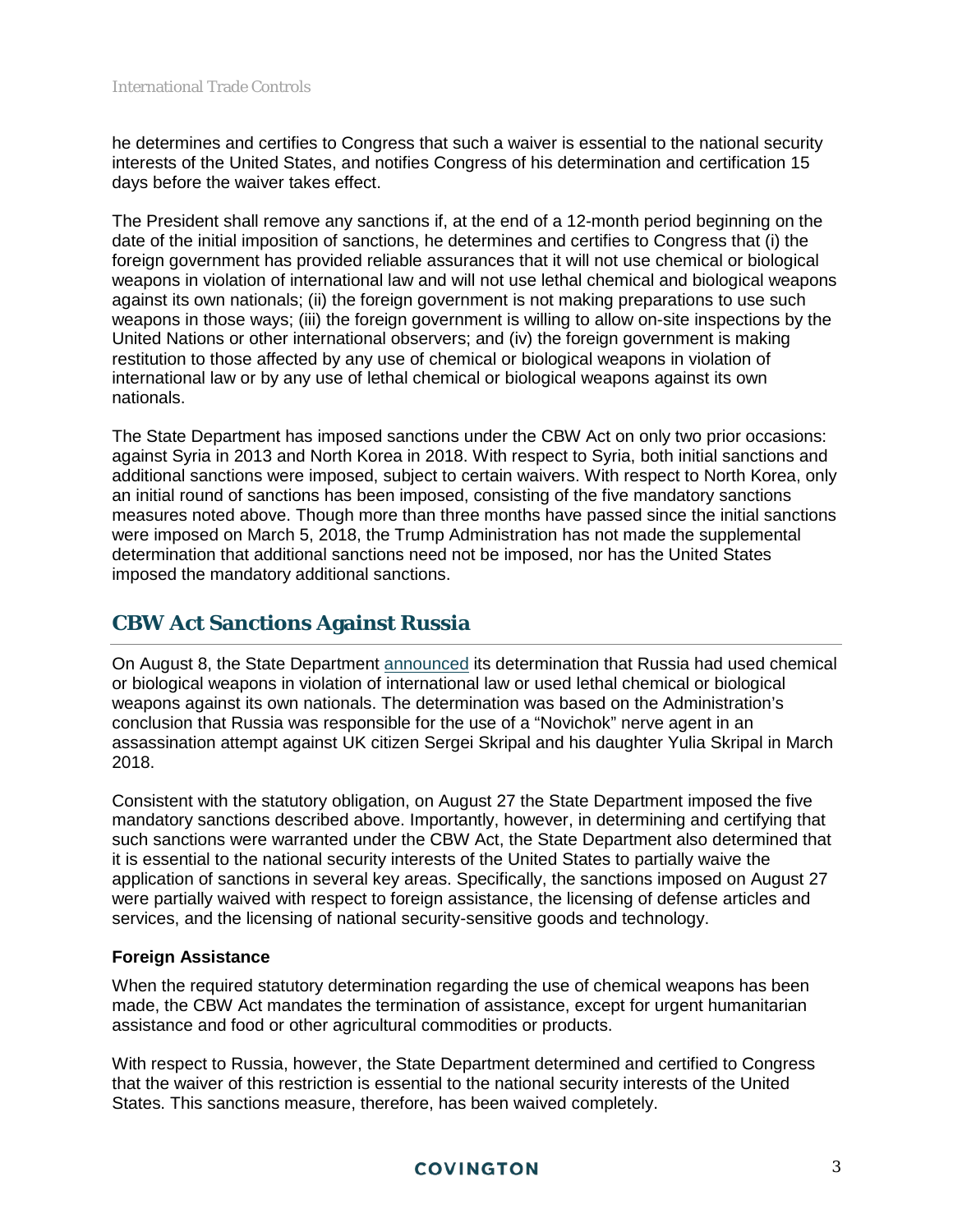he determines and certifies to Congress that such a waiver is essential to the national security interests of the United States, and notifies Congress of his determination and certification 15 days before the waiver takes effect.

The President shall remove any sanctions if, at the end of a 12-month period beginning on the date of the initial imposition of sanctions, he determines and certifies to Congress that (i) the foreign government has provided reliable assurances that it will not use chemical or biological weapons in violation of international law and will not use lethal chemical and biological weapons against its own nationals; (ii) the foreign government is not making preparations to use such weapons in those ways; (iii) the foreign government is willing to allow on-site inspections by the United Nations or other international observers; and (iv) the foreign government is making restitution to those affected by any use of chemical or biological weapons in violation of international law or by any use of lethal chemical or biological weapons against its own nationals.

The State Department has imposed sanctions under the CBW Act on only two prior occasions: against Syria in 2013 and North Korea in 2018. With respect to Syria, both initial sanctions and additional sanctions were imposed, subject to certain waivers. With respect to North Korea, only an initial round of sanctions has been imposed, consisting of the five mandatory sanctions measures noted above. Though more than three months have passed since the initial sanctions were imposed on March 5, 2018, the Trump Administration has not made the supplemental determination that additional sanctions need not be imposed, nor has the United States imposed the mandatory additional sanctions.

## **CBW Act Sanctions Against Russia**

On August 8, the State Department [announced](https://www.state.gov/r/pa/prs/ps/2018/08/285043.htm) its determination that Russia had used chemical or biological weapons in violation of international law or used lethal chemical or biological weapons against its own nationals. The determination was based on the Administration's conclusion that Russia was responsible for the use of a "Novichok" nerve agent in an assassination attempt against UK citizen Sergei Skripal and his daughter Yulia Skripal in March 2018.

Consistent with the statutory obligation, on August 27 the State Department imposed the five mandatory sanctions described above. Importantly, however, in determining and certifying that such sanctions were warranted under the CBW Act, the State Department also determined that it is essential to the national security interests of the United States to partially waive the application of sanctions in several key areas. Specifically, the sanctions imposed on August 27 were partially waived with respect to foreign assistance, the licensing of defense articles and services, and the licensing of national security-sensitive goods and technology.

#### **Foreign Assistance**

When the required statutory determination regarding the use of chemical weapons has been made, the CBW Act mandates the termination of assistance, except for urgent humanitarian assistance and food or other agricultural commodities or products.

With respect to Russia, however, the State Department determined and certified to Congress that the waiver of this restriction is essential to the national security interests of the United States. This sanctions measure, therefore, has been waived completely.

#### **COVINGTON**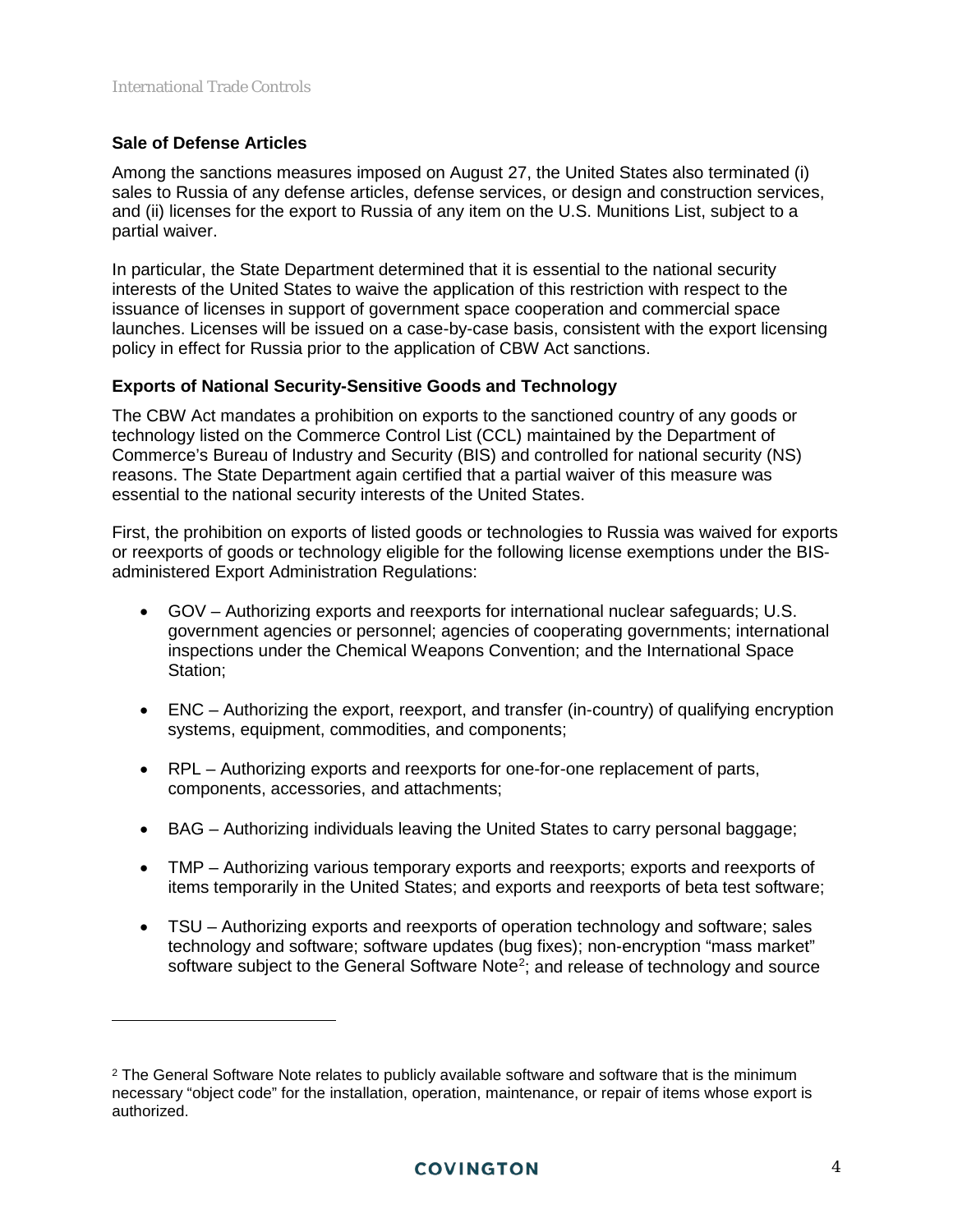#### **Sale of Defense Articles**

 $\overline{a}$ 

Among the sanctions measures imposed on August 27, the United States also terminated (i) sales to Russia of any defense articles, defense services, or design and construction services, and (ii) licenses for the export to Russia of any item on the U.S. Munitions List, subject to a partial waiver.

In particular, the State Department determined that it is essential to the national security interests of the United States to waive the application of this restriction with respect to the issuance of licenses in support of government space cooperation and commercial space launches. Licenses will be issued on a case-by-case basis, consistent with the export licensing policy in effect for Russia prior to the application of CBW Act sanctions.

#### **Exports of National Security-Sensitive Goods and Technology**

The CBW Act mandates a prohibition on exports to the sanctioned country of any goods or technology listed on the Commerce Control List (CCL) maintained by the Department of Commerce's Bureau of Industry and Security (BIS) and controlled for national security (NS) reasons. The State Department again certified that a partial waiver of this measure was essential to the national security interests of the United States.

First, the prohibition on exports of listed goods or technologies to Russia was waived for exports or reexports of goods or technology eligible for the following license exemptions under the BISadministered Export Administration Regulations:

- GOV Authorizing exports and reexports for international nuclear safeguards; U.S. government agencies or personnel; agencies of cooperating governments; international inspections under the Chemical Weapons Convention; and the International Space Station;
- ENC Authorizing the export, reexport, and transfer (in-country) of qualifying encryption systems, equipment, commodities, and components;
- RPL Authorizing exports and reexports for one-for-one replacement of parts, components, accessories, and attachments;
- BAG Authorizing individuals leaving the United States to carry personal baggage;
- TMP Authorizing various temporary exports and reexports; exports and reexports of items temporarily in the United States; and exports and reexports of beta test software;
- TSU Authorizing exports and reexports of operation technology and software; sales technology and software; software updates (bug fixes); non-encryption "mass market" software subject to the General Software Note<sup>2</sup>; and release of technology and source

<span id="page-3-0"></span> $2$  The General Software Note relates to publicly available software and software that is the minimum necessary "object code" for the installation, operation, maintenance, or repair of items whose export is authorized.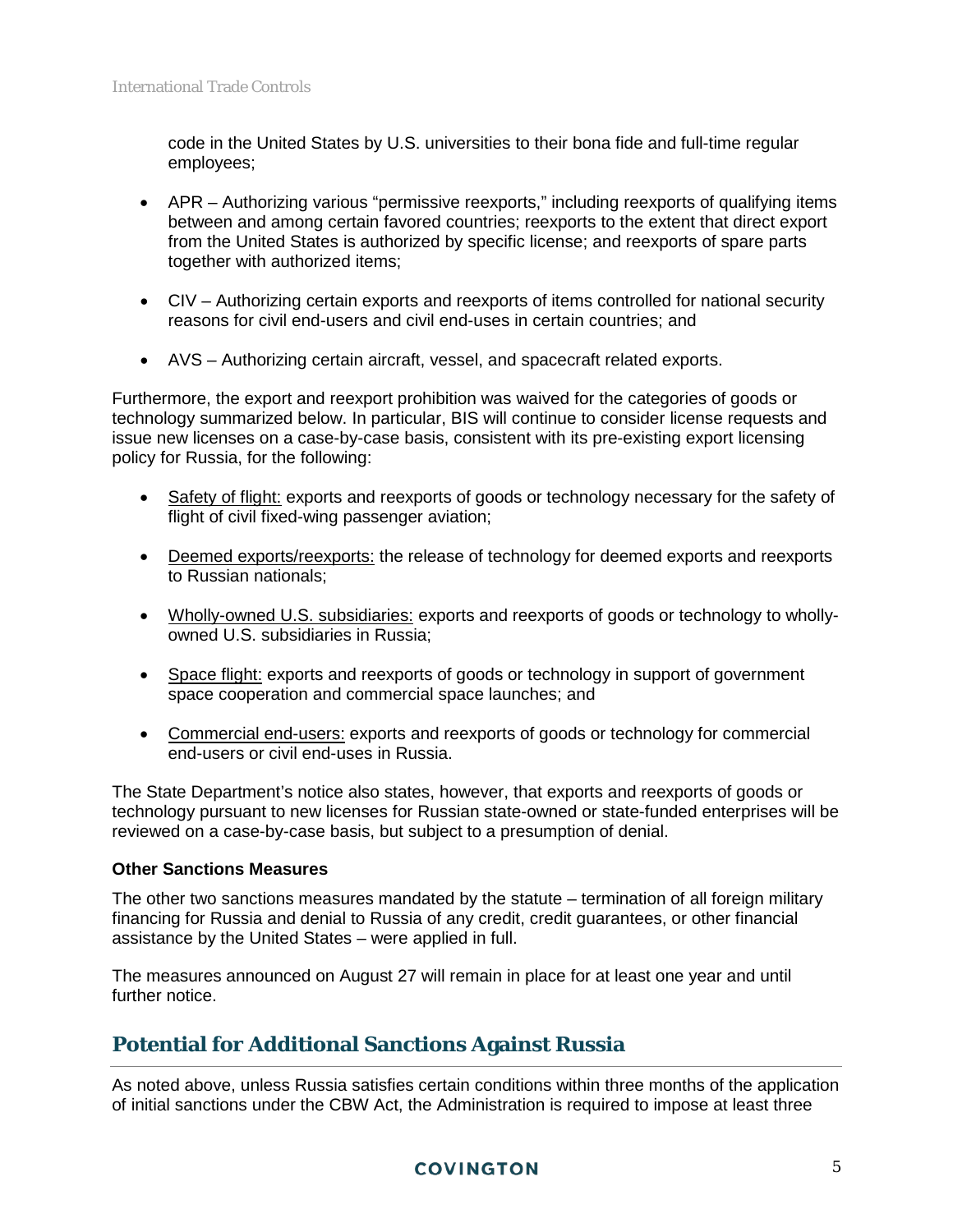code in the United States by U.S. universities to their bona fide and full-time regular employees;

- APR Authorizing various "permissive reexports," including reexports of qualifying items between and among certain favored countries; reexports to the extent that direct export from the United States is authorized by specific license; and reexports of spare parts together with authorized items;
- CIV Authorizing certain exports and reexports of items controlled for national security reasons for civil end-users and civil end-uses in certain countries; and
- AVS Authorizing certain aircraft, vessel, and spacecraft related exports.

Furthermore, the export and reexport prohibition was waived for the categories of goods or technology summarized below. In particular, BIS will continue to consider license requests and issue new licenses on a case-by-case basis, consistent with its pre-existing export licensing policy for Russia, for the following:

- Safety of flight: exports and reexports of goods or technology necessary for the safety of flight of civil fixed-wing passenger aviation;
- Deemed exports/reexports: the release of technology for deemed exports and reexports to Russian nationals;
- Wholly-owned U.S. subsidiaries: exports and reexports of goods or technology to whollyowned U.S. subsidiaries in Russia;
- Space flight: exports and reexports of goods or technology in support of government space cooperation and commercial space launches; and
- Commercial end-users: exports and reexports of goods or technology for commercial end-users or civil end-uses in Russia.

The State Department's notice also states, however, that exports and reexports of goods or technology pursuant to new licenses for Russian state-owned or state-funded enterprises will be reviewed on a case-by-case basis, but subject to a presumption of denial.

#### **Other Sanctions Measures**

The other two sanctions measures mandated by the statute – termination of all foreign military financing for Russia and denial to Russia of any credit, credit guarantees, or other financial assistance by the United States – were applied in full.

The measures announced on August 27 will remain in place for at least one year and until further notice.

# **Potential for Additional Sanctions Against Russia**

As noted above, unless Russia satisfies certain conditions within three months of the application of initial sanctions under the CBW Act, the Administration is required to impose at least three

#### **COVINGTON**